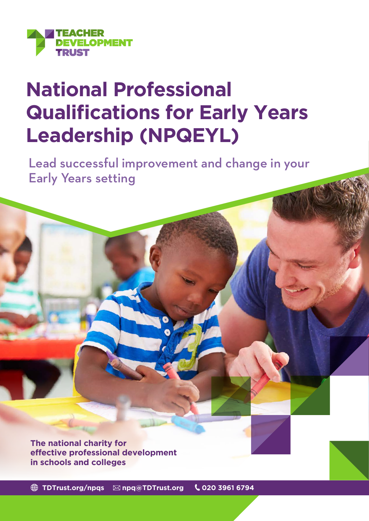

# **National Professional Qualifications for Early Years Leadership (NPQEYL)**

Lead successful improvement and change in your Early Years setting

**The national charity for effective professional development in schools and colleges**

**[TDTrust.org/npqs](https://tdtrust.org/npqs-from-the-teacher-development-trust-2/) [npq@TDTrust.org](mailto:npq%40TDTrust.org?subject=) 020 3961 6794**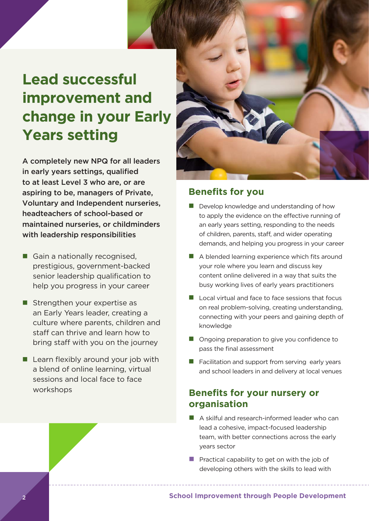# **Lead successful improvement and change in your Early Years setting**

A completely new NPQ for all leaders in early years settings, qualified to at least Level 3 who are, or are aspiring to be, managers of Private, Voluntary and Independent nurseries, headteachers of school-based or maintained nurseries, or childminders with leadership responsibilities

- Gain a nationally recognised, prestigious, government-backed senior leadership qualification to help you progress in your career
- $\blacksquare$  Strengthen your expertise as an Early Years leader, creating a culture where parents, children and staff can thrive and learn how to bring staff with you on the journey
- $\blacksquare$  Learn flexibly around your job with a blend of online learning, virtual sessions and local face to face workshops



## **Benefits for you**

- $\blacksquare$  Develop knowledge and understanding of how to apply the evidence on the effective running of an early years setting, responding to the needs of children, parents, staff, and wider operating demands, and helping you progress in your career
- $\blacksquare$  A blended learning experience which fits around your role where you learn and discuss key content online delivered in a way that suits the busy working lives of early years practitioners
- $\blacksquare$  Local virtual and face to face sessions that focus on real problem-solving, creating understanding, connecting with your peers and gaining depth of knowledge
- Ongoing preparation to give you confidence to pass the final assessment
- $\blacksquare$  Facilitation and support from serving early years and school leaders in and delivery at local venues

# **Benefits for your nursery or organisation**

- A skilful and research-informed leader who can lead a cohesive, impact-focused leadership team, with better connections across the early years sector
- **Practical capability to get on with the job of** developing others with the skills to lead with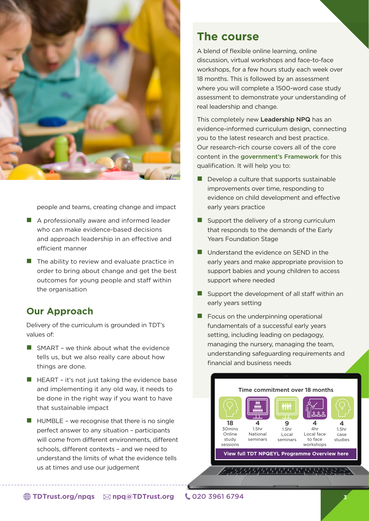

people and teams, creating change and impact

- $\blacksquare$  A professionally aware and informed leader who can make evidence-based decisions and approach leadership in an effective and efficient manner
- $\blacksquare$  The ability to review and evaluate practice in order to bring about change and get the best outcomes for young people and staff within the organisation

## **Our Approach**

Delivery of the curriculum is grounded in TDT's values of:

- $\blacksquare$  SMART we think about what the evidence tells us, but we also really care about how things are done.
- $\blacksquare$  HEART it's not just taking the evidence base and implementing it any old way, it needs to be done in the right way if you want to have that sustainable impact
- $\blacksquare$  HUMBLE we recognise that there is no single perfect answer to any situation – participants will come from different environments, different schools, different contexts – and we need to understand the limits of what the evidence tells us at times and use our judgement

# **The course**

A blend of flexible online learning, online discussion, virtual workshops and face-to-face workshops, for a few hours study each week over 18 months. This is followed by an assessment where you will complete a 1500-word case study assessment to demonstrate your understanding of real leadership and change.

This completely new Leadership NPQ has an evidence-informed curriculum design, connecting you to the latest research and best practice. Our research-rich course covers all of the core content in the [government's Framework](https://assets.publishing.service.gov.uk/government/uploads/system/uploads/attachment_data/file/1057342/National_Professional_Qualification_for_Early_Years_Leadership.pdf) for this qualification. It will help you to:

- $\blacksquare$  Develop a culture that supports sustainable improvements over time, responding to evidence on child development and effective early years practice
- $\blacksquare$  Support the delivery of a strong curriculum that responds to the demands of the Early Years Foundation Stage
- $\blacksquare$  Understand the evidence on SEND in the early years and make appropriate provision to support babies and young children to access support where needed
- $\blacksquare$  Support the development of all staff within an early years setting
- $\blacksquare$  Focus on the underpinning operational fundamentals of a successful early years setting, including leading on pedagogy, managing the nursery, managing the team, understanding safeguarding requirements and financial and business needs



**[TDTrust.org/npqs](https://tdtrust.org/npqs-from-the-teacher-development-trust-2/) [npq@TDTrust.org](mailto:npq%40TDTrust.org?subject=)** 020 3961 6794 3